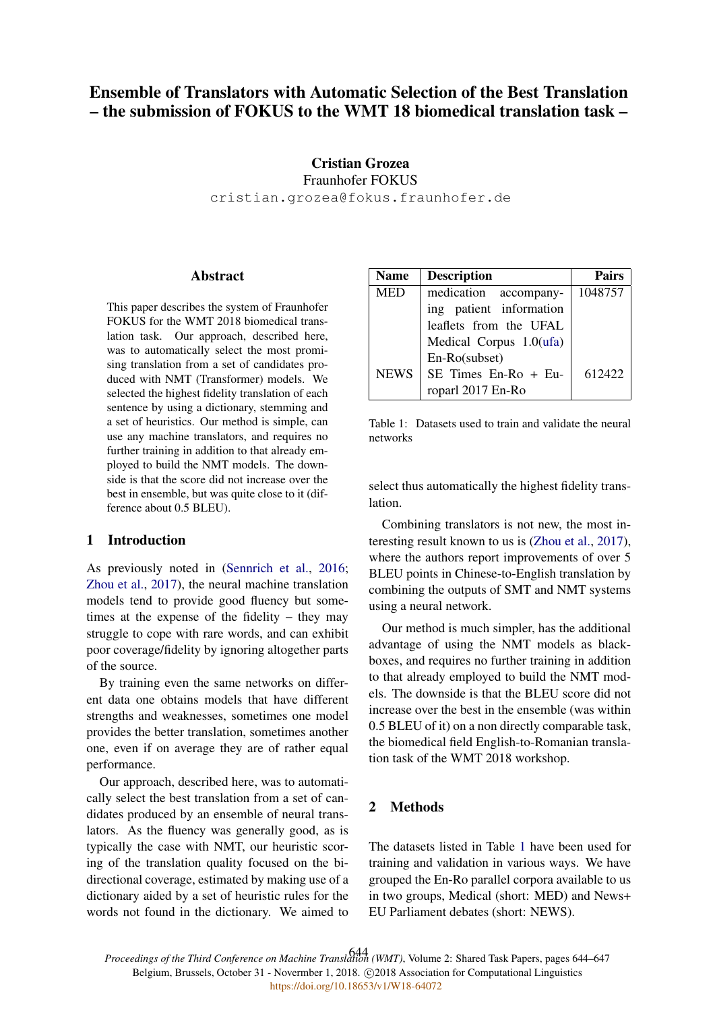# Ensemble of Translators with Automatic Selection of the Best Translation – the submission of FOKUS to the WMT 18 biomedical translation task –

## Cristian Grozea Fraunhofer FOKUS cristian.grozea@fokus.fraunhofer.de

### **Abstract**

This paper describes the system of Fraunhofer FOKUS for the WMT 2018 biomedical translation task. Our approach, described here, was to automatically select the most promising translation from a set of candidates produced with NMT (Transformer) models. We selected the highest fidelity translation of each sentence by using a dictionary, stemming and a set of heuristics. Our method is simple, can use any machine translators, and requires no further training in addition to that already employed to build the NMT models. The downside is that the score did not increase over the best in ensemble, but was quite close to it (difference about 0.5 BLEU).

## 1 Introduction

As previously noted in (Sennrich et al., 2016; Zhou et al., 2017), the neural machine translation models tend to provide good fluency but sometimes at the expense of the fidelity – they may struggle to cope with rare words, and can exhibit poor coverage/fidelity by ignoring altogether parts of the source.

By training even the same networks on different data one obtains models that have different strengths and weaknesses, sometimes one model provides the better translation, sometimes another one, even if on average they are of rather equal performance.

Our approach, described here, was to automatically select the best translation from a set of candidates produced by an ensemble of neural translators. As the fluency was generally good, as is typically the case with NMT, our heuristic scoring of the translation quality focused on the bidirectional coverage, estimated by making use of a dictionary aided by a set of heuristic rules for the words not found in the dictionary. We aimed to

| <b>Name</b> | <b>Description</b>         | <b>Pairs</b> |
|-------------|----------------------------|--------------|
| <b>MED</b>  | medication accompany-      | 1048757      |
|             | ing patient information    |              |
|             | leaflets from the UFAL     |              |
|             | Medical Corpus $1.0$ (ufa) |              |
|             | En-Ro(subset)              |              |
| <b>NEWS</b> | SE Times En-Ro + Eu-       | 612422       |
|             | roparl 2017 En-Ro          |              |

Table 1: Datasets used to train and validate the neural networks

select thus automatically the highest fidelity translation.

Combining translators is not new, the most interesting result known to us is (Zhou et al., 2017), where the authors report improvements of over 5 BLEU points in Chinese-to-English translation by combining the outputs of SMT and NMT systems using a neural network.

Our method is much simpler, has the additional advantage of using the NMT models as blackboxes, and requires no further training in addition to that already employed to build the NMT models. The downside is that the BLEU score did not increase over the best in the ensemble (was within 0.5 BLEU of it) on a non directly comparable task, the biomedical field English-to-Romanian translation task of the WMT 2018 workshop.

## 2 Methods

The datasets listed in Table 1 have been used for training and validation in various ways. We have grouped the En-Ro parallel corpora available to us in two groups, Medical (short: MED) and News+ EU Parliament debates (short: NEWS).

*Proceedings of the Third Conference on Machine Translation (WMT)*, Volume 2: Shared Task Papers, pages 644–647 644Belgium, Brussels, October 31 - Novermber 1, 2018. C2018 Association for Computational Linguistics <https://doi.org/10.18653/v1/W18-64072>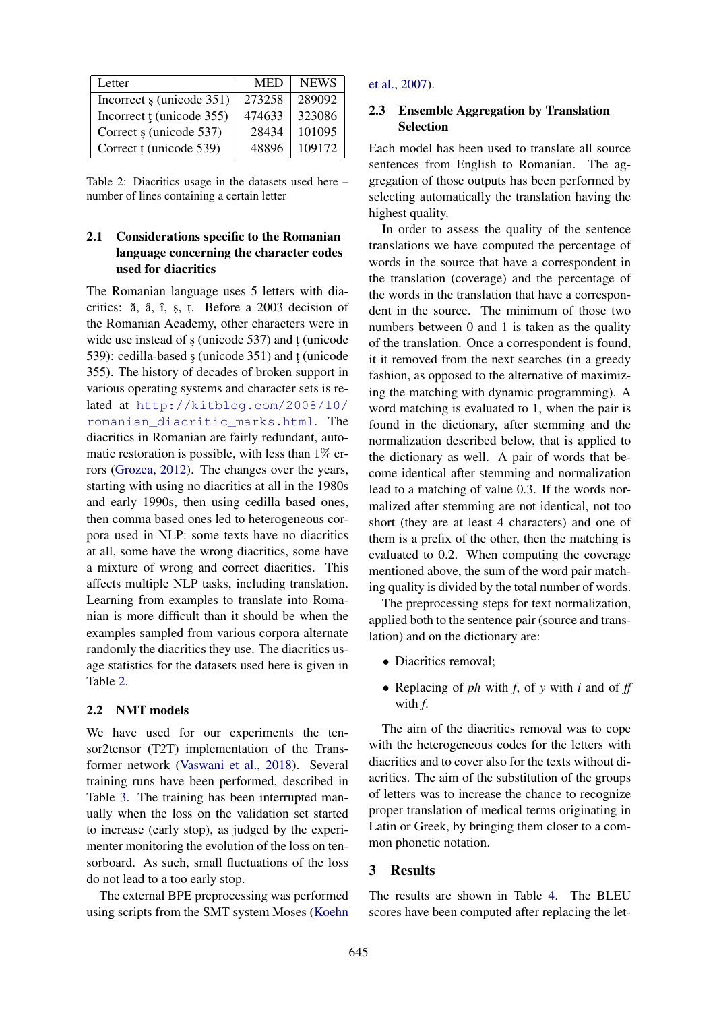| Letter                                | <b>MED</b> | <b>NEWS</b> |
|---------------------------------------|------------|-------------|
| Incorrect $\frac{1}{2}$ (unicode 351) | 273258     | 289092      |
| Incorrect t (unicode 355)             | 474633     | 323086      |
| Correct s (unicode 537)               | 28434      | 101095      |
| Correct t (unicode 539)               | 48896      | 109172      |

Table 2: Diacritics usage in the datasets used here – number of lines containing a certain letter

## 2.1 Considerations specific to the Romanian language concerning the character codes used for diacritics

The Romanian language uses 5 letters with diacritics: ă, â, î, ș, ț. Before a 2003 decision of the Romanian Academy, other characters were in wide use instead of  $s$  (unicode 537) and  $t$  (unicode 539): cedilla-based  $\frac{1}{2}$  (unicode 351) and t (unicode 355). The history of decades of broken support in various operating systems and character sets is related at http://kitblog.com/2008/10/ romanian\_diacritic\_marks.html. The diacritics in Romanian are fairly redundant, automatic restoration is possible, with less than  $1\%$  errors (Grozea, 2012). The changes over the years, starting with using no diacritics at all in the 1980s and early 1990s, then using cedilla based ones, then comma based ones led to heterogeneous corpora used in NLP: some texts have no diacritics at all, some have the wrong diacritics, some have a mixture of wrong and correct diacritics. This affects multiple NLP tasks, including translation. Learning from examples to translate into Romanian is more difficult than it should be when the examples sampled from various corpora alternate randomly the diacritics they use. The diacritics usage statistics for the datasets used here is given in Table 2.

#### 2.2 NMT models

We have used for our experiments the tensor2tensor (T2T) implementation of the Transformer network (Vaswani et al., 2018). Several training runs have been performed, described in Table 3. The training has been interrupted manually when the loss on the validation set started to increase (early stop), as judged by the experimenter monitoring the evolution of the loss on tensorboard. As such, small fluctuations of the loss do not lead to a too early stop.

The external BPE preprocessing was performed using scripts from the SMT system Moses (Koehn

## et al., 2007).

## 2.3 Ensemble Aggregation by Translation Selection

Each model has been used to translate all source sentences from English to Romanian. The aggregation of those outputs has been performed by selecting automatically the translation having the highest quality.

In order to assess the quality of the sentence translations we have computed the percentage of words in the source that have a correspondent in the translation (coverage) and the percentage of the words in the translation that have a correspondent in the source. The minimum of those two numbers between 0 and 1 is taken as the quality of the translation. Once a correspondent is found, it it removed from the next searches (in a greedy fashion, as opposed to the alternative of maximizing the matching with dynamic programming). A word matching is evaluated to 1, when the pair is found in the dictionary, after stemming and the normalization described below, that is applied to the dictionary as well. A pair of words that become identical after stemming and normalization lead to a matching of value 0.3. If the words normalized after stemming are not identical, not too short (they are at least 4 characters) and one of them is a prefix of the other, then the matching is evaluated to 0.2. When computing the coverage mentioned above, the sum of the word pair matching quality is divided by the total number of words.

The preprocessing steps for text normalization, applied both to the sentence pair (source and translation) and on the dictionary are:

- Diacritics removal;
- Replacing of *ph* with *f*, of *y* with *i* and of *ff* with *f*.

The aim of the diacritics removal was to cope with the heterogeneous codes for the letters with diacritics and to cover also for the texts without diacritics. The aim of the substitution of the groups of letters was to increase the chance to recognize proper translation of medical terms originating in Latin or Greek, by bringing them closer to a common phonetic notation.

## 3 Results

The results are shown in Table 4. The BLEU scores have been computed after replacing the let-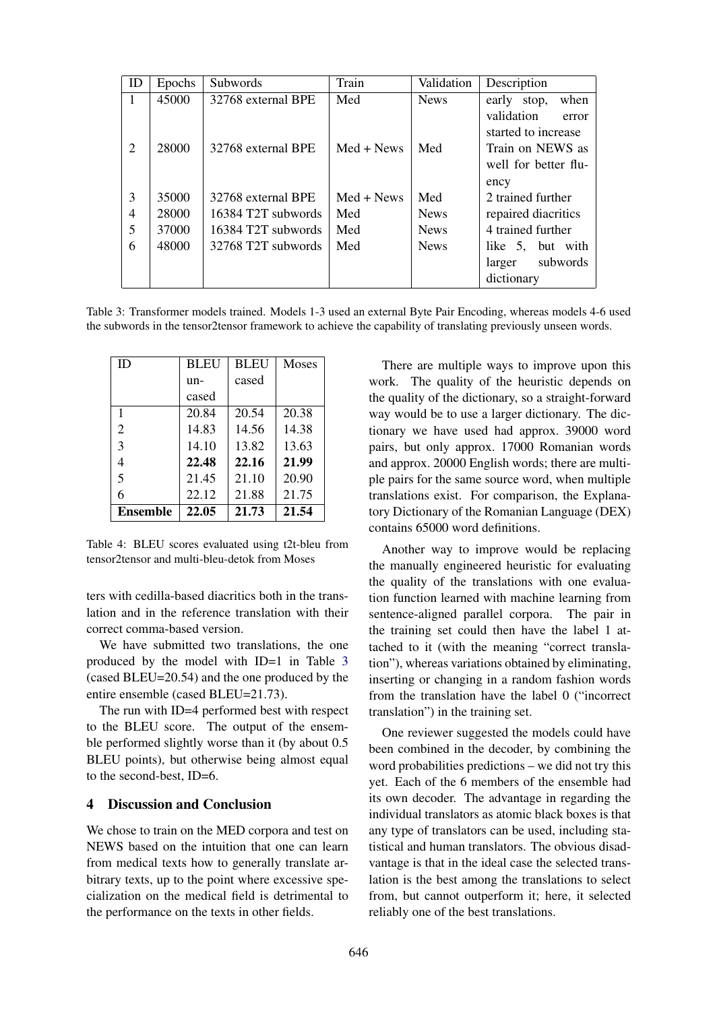| ID | Epochs | <b>Subwords</b>    | Train        | Validation  | Description                                |
|----|--------|--------------------|--------------|-------------|--------------------------------------------|
| 1  | 45000  | 32768 external BPE | Med          | <b>News</b> | when<br>early stop,                        |
|    |        |                    |              |             | validation<br>error<br>started to increase |
| 2  | 28000  | 32768 external BPE | $Med + News$ | Med         | Train on NEWS as                           |
|    |        |                    |              |             | well for better flu-                       |
|    |        |                    |              |             | ency                                       |
| 3  | 35000  | 32768 external BPE | $Med + News$ | Med         | 2 trained further                          |
| 4  | 28000  | 16384 T2T subwords | Med          | <b>News</b> | repaired diacritics                        |
| 5  | 37000  | 16384 T2T subwords | Med          | <b>News</b> | 4 trained further                          |
| 6  | 48000  | 32768 T2T subwords | Med          | <b>News</b> | like 5, but with                           |
|    |        |                    |              |             | subwords<br>larger                         |
|    |        |                    |              |             | dictionary                                 |

Table 3: Transformer models trained. Models 1-3 used an external Byte Pair Encoding, whereas models 4-6 used the subwords in the tensor2tensor framework to achieve the capability of translating previously unseen words.

| ID              | <b>BLEU</b> | <b>BLEU</b> | Moses |
|-----------------|-------------|-------------|-------|
|                 | un-         | cased       |       |
|                 | cased       |             |       |
| 1               | 20.84       | 20.54       | 20.38 |
| $\overline{2}$  | 14.83       | 14.56       | 14.38 |
| 3               | 14.10       | 13.82       | 13.63 |
| 4               | 22.48       | 22.16       | 21.99 |
| 5               | 21.45       | 21.10       | 20.90 |
| 6               | 22.12       | 21.88       | 21.75 |
| <b>Ensemble</b> | 22.05       | 21.73       | 21.54 |

Table 4: BLEU scores evaluated using t2t-bleu from tensor2tensor and multi-bleu-detok from Moses

ters with cedilla-based diacritics both in the translation and in the reference translation with their correct comma-based version.

We have submitted two translations, the one produced by the model with ID=1 in Table 3 (cased BLEU=20.54) and the one produced by the entire ensemble (cased BLEU=21.73).

The run with ID=4 performed best with respect to the BLEU score. The output of the ensemble performed slightly worse than it (by about 0.5 BLEU points), but otherwise being almost equal to the second-best, ID=6.

#### 4 Discussion and Conclusion

We chose to train on the MED corpora and test on NEWS based on the intuition that one can learn from medical texts how to generally translate arbitrary texts, up to the point where excessive specialization on the medical field is detrimental to the performance on the texts in other fields.

There are multiple ways to improve upon this work. The quality of the heuristic depends on the quality of the dictionary, so a straight-forward way would be to use a larger dictionary. The dictionary we have used had approx. 39000 word pairs, but only approx. 17000 Romanian words and approx. 20000 English words; there are multiple pairs for the same source word, when multiple translations exist. For comparison, the Explanatory Dictionary of the Romanian Language (DEX) contains 65000 word definitions.

Another way to improve would be replacing the manually engineered heuristic for evaluating the quality of the translations with one evaluation function learned with machine learning from sentence-aligned parallel corpora. The pair in the training set could then have the label 1 attached to it (with the meaning "correct translation"), whereas variations obtained by eliminating, inserting or changing in a random fashion words from the translation have the label 0 ("incorrect translation") in the training set.

One reviewer suggested the models could have been combined in the decoder, by combining the word probabilities predictions – we did not try this yet. Each of the 6 members of the ensemble had its own decoder. The advantage in regarding the individual translators as atomic black boxes is that any type of translators can be used, including statistical and human translators. The obvious disadvantage is that in the ideal case the selected translation is the best among the translations to select from, but cannot outperform it; here, it selected reliably one of the best translations.